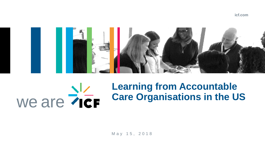

# we are her



M a y 1 5 , 2 0 1 8

## **Learning from Accountable Care Organisations in the US**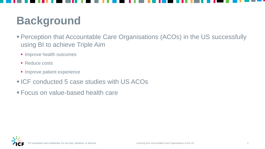## **Background**

- **Perception that Accountable Care Organisations (ACOs) in the US successfully** using BI to achieve Triple Aim
	- **· Improve health outcomes**
	- Reduce costs
	- **· Improve patient experience**
- ICF conducted 5 case studies with US ACOs
- Focus on value-based health care



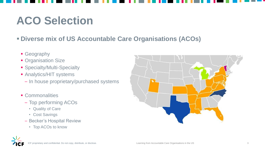

## **ACO Selection**

### ▪ **Diverse mix of US Accountable Care Organisations (ACOs)**

- **Geography**
- **Organisation Size**
- **Specialty/Multi-Specialty**
- **Analytics/HIT systems** 
	- In house proprietary/purchased systems
- Commonalities
	- Top performing ACOs
		- Quality of Care
		- Cost Savings
	- Becker's Hospital Review
		- Top ACOs to know

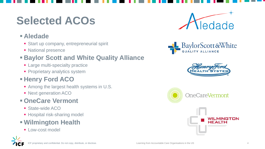







## **Selected ACOs**

#### ▪ **Aledade**

- Start up company, entrepreneurial spirit
- **E** National presence

#### **<b>Eaylor Scott and White Quality Alliance**

- **Example 2 Figure 1** Large multi-specialty practice
- **Proprietary analytics system**

### ▪ **Henry Ford ACO**

- Among the largest health systems in U.S.
- **Next generation ACO**

### ▪ **OneCare Vermont**

- State-wide ACO
- **EXPENDED Herebar Hospital risk-sharing model**

### ▪ **Wilmington Health**

**E** Low-cost model





## BaylorScott&White

### INGTON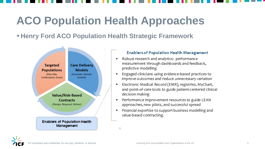## **ACO Population Health Approaches**

#### **Example 2 Ford ACO Population Health Strategic Framework**



#### **Enablers of Population Health Management**

- Robust research and analytics: performance measurement through dashboards and feedback, predictive modelling
- Engaged clinicians using evidence-based practices to improve outcomes and reduce unnecessary variation
- Electronic Medical Record (EMR), registries, MyChart, and point-of-care tools to guide patient-centered clinical decision making
- Performance improvement resources to guide LEAN approaches, new pilots, and successful spread
- Financial expertise to support business modelling and value-based contracting.

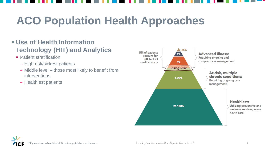## **ACO Population Health Approaches**

#### ▪ **Use of Health Information Technology (HIT) and Analytics**

- **Patient stratification** 
	- High risk/sickest patients
	- Middle level those most likely to benefit from interventions
	- Healthiest patients





#### **Advanced illness:**

Requiring ongoing and complex case management

#### At-risk, multiple chronic conditions: Requiring ongoing care

management



Utilizing preventive and wellness services, some acute care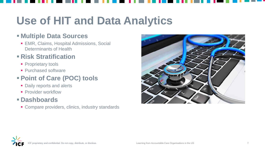## **Use of HIT and Data Analytics**

**EMR, Claims, Hospital Admissions, Social** Determinants of Health

#### ▪ **Multiple Data Sources**

#### ▪ **Risk Stratification**

- **Proprietary tools**
- **Purchased software**

### ▪ **Point of Care (POC) tools**

- **Daily reports and alerts**
- **Provider workflow**

#### ▪ **Dashboards**

■ Compare providers, clinics, industry standards



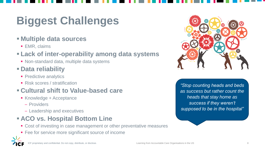## **Biggest Challenges**

#### ▪ **Multiple data sources**

■ EMR, claims

### ▪ **Lack of inter-operability among data systems**

■ Non-standard data, multiple data systems

- **EXACCEDENGE + Acceptance** 
	- Providers
	- Leadership and executives

### **EACO vs. Hospital Bottom Line**

- Cost of investing in case management or other preventative measures
- Fee for service more significant source of income





### ▪ **Data reliability**

- **Predictive analytics**
- Risk scores / stratification

### ▪ **Cultural shift to Value-based care**

*"Stop counting heads and beds as success but rather count the heads that stay home as success if they weren't supposed to be in the hospital"*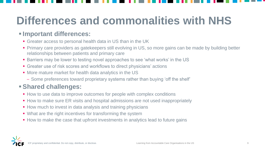## **Differences and commonalities with NHS**

#### ▪ **Important differences:**

- **Example 2 Figure 1** Greater access to personal health data in US than in the UK
- **Primary care providers as gatekeepers still evolving in US, so more gains can be made by building better** relationships between patients and primary care
- Barriers may be lower to testing novel approaches to see 'what works' in the US
- Greater use of risk scores and workflows to direct physicians' actions
- More mature market for health data analytics in the US
	- Some preferences toward proprietary systems rather than buying 'off the shelf'

#### ▪ **Shared challenges:**

- How to use data to improve outcomes for people with complex conditions
- How to make sure ER visits and hospital admissions are not used inappropriately
- **.** How much to invest in data analysis and training physicians
- What are the right incentives for transforming the system
- How to make the case that upfront investments in analytics lead to future gains



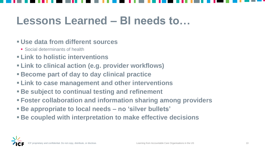## **Lessons Learned – BI needs to…**

#### ▪ **Use data from different sources**

- Social determinants of health
- **Link to holistic interventions**
- **Link to clinical action (e.g. provider workflows)**
- **Become part of day to day clinical practice**
- **Link to case management and other interventions**
- **Example 1 Be subject to continual testing and refinement**
- **Foster collaboration and information sharing among providers**
- **Be appropriate to local needs – no 'silver bullets'**
- **Example 5 Be coupled with interpretation to make effective decisions**